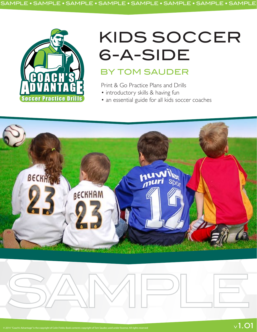

## KIDS SOCCER 6-A-SIDE

## BY TOM SAUDER

Print & Go Practice Plans and Drills

- introductory skills & having fun
- an essential guide for all kids soccer coaches

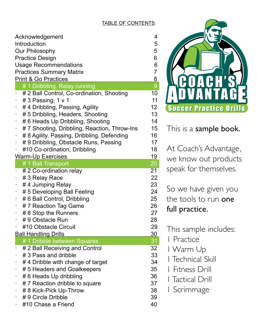## TABLE OF CONTENTS

| Acknowledgement<br>Introduction<br><b>Our Philosophy</b><br><b>Practice Design</b><br><b>Usage Recommendations</b><br><b>Practices Summary Matrix</b> | 4<br>5<br>5<br>6<br>6<br>$\overline{7}$ |
|-------------------------------------------------------------------------------------------------------------------------------------------------------|-----------------------------------------|
| <b>Print &amp; Go Practices</b>                                                                                                                       |                                         |
| # 1 Dribbling, Relay running                                                                                                                          | $\frac{8}{9}$                           |
| # 2 Ball Control, Co-ordination, Shooting                                                                                                             | 10                                      |
| # 3 Passing, $1 \vee 1$                                                                                                                               | 11                                      |
| #4 Dribbling, Passing, Agility                                                                                                                        | 12                                      |
| # 5 Dribbling, Headers, Shooting                                                                                                                      | 13                                      |
| #6 Heads Up Dribbling, Shooting                                                                                                                       | 14                                      |
| #7 Shooting, Dribbling, Reaction, Throw-Ins                                                                                                           | 15                                      |
| # 8 Agility, Passing, Dribbling, Defending                                                                                                            | 16                                      |
| # 9 Dribbling, Obstacle Runs, Passing                                                                                                                 | 17                                      |
| #10 Co-ordination, Dribbling                                                                                                                          | 18                                      |
| <b>Warm-Up Exercises</b>                                                                                                                              | 19                                      |
| # 1 Ball Transport                                                                                                                                    | 20                                      |
| # 2 Co-ordination relay                                                                                                                               | 21                                      |
| #3 Relay Race                                                                                                                                         | 22                                      |
| #4 Jumping Relay                                                                                                                                      | 23                                      |
| # 5 Developing Ball Feeling                                                                                                                           | 24                                      |
| # 6 Ball Control, Dribbling                                                                                                                           | 25                                      |
| #7 Reaction Tag Game                                                                                                                                  | 26                                      |
| #8 Stop the Runners                                                                                                                                   | 27                                      |
| #9 Obstacle Run                                                                                                                                       | 28                                      |
| #10 Obstacle Circuit                                                                                                                                  | 29                                      |
| <b>Ball Handling Drills</b>                                                                                                                           | 30                                      |
| #1 Dribble between Squares                                                                                                                            | 31                                      |
| # 2 Ball Receiving and Control                                                                                                                        | 32                                      |
| # 3 Pass and dribble                                                                                                                                  | 33                                      |
| #4 Dribble with change of target                                                                                                                      | 34                                      |
| #5 Headers and Goalkeepers                                                                                                                            | 35                                      |
| # 6 Heads Up dribbling                                                                                                                                | 36                                      |
| #7 Reaction dribble to square                                                                                                                         | 37                                      |
| # 8 Kick-Pick Up-Throw                                                                                                                                | 38                                      |
| # 9 Circle Dribble                                                                                                                                    | 39                                      |
| #10 Chase a Friend                                                                                                                                    | 40                                      |



This is a sample book.

At Coach's Advantage, we know out products speak for themselves.

So we have given you the tools to run one full practice.

This sample includes:

- 1 Practice
- 1 Warm Up
- 1 Technical Skill
- 1 Fitness Drill
- 1 Tactical Drill
- 1 Scrimmage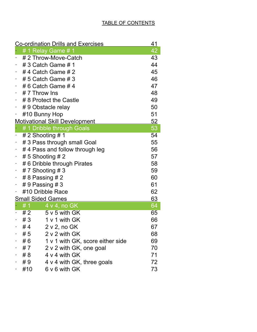| <b>Co-ordination Drills and Exercises</b><br>41 |                                      |                                  |    |  |  |
|-------------------------------------------------|--------------------------------------|----------------------------------|----|--|--|
|                                                 |                                      | # 1 Relay Game # 1               | 42 |  |  |
|                                                 |                                      | # 2 Throw-Move-Catch             | 43 |  |  |
|                                                 | # 3 Catch Game # 1                   |                                  |    |  |  |
|                                                 | #4 Catch Game #2                     |                                  |    |  |  |
|                                                 | # 5 Catch Game # 3                   |                                  |    |  |  |
|                                                 | # 6 Catch Game # 4                   |                                  |    |  |  |
|                                                 | # 7 Throw Ins                        |                                  |    |  |  |
| $\blacksquare$                                  | # 8 Protect the Castle               |                                  |    |  |  |
| $\sim$                                          | #9 Obstacle relay                    |                                  |    |  |  |
|                                                 | #10 Bunny Hop                        |                                  |    |  |  |
| 52<br><b>Motivational Skill Development</b>     |                                      |                                  |    |  |  |
|                                                 |                                      | # 1 Dribble through Goals        | 53 |  |  |
|                                                 |                                      | # 2 Shooting # 1                 | 54 |  |  |
|                                                 | 55<br># 3 Pass through small Goal    |                                  |    |  |  |
|                                                 | 56<br>#4 Pass and follow through leg |                                  |    |  |  |
| ۳                                               | # 5 Shooting # 2                     |                                  |    |  |  |
| $\overline{\phantom{a}}$                        | #6 Dribble through Pirates           |                                  |    |  |  |
| $\overline{\phantom{a}}$                        | # 7 Shooting # 3                     |                                  |    |  |  |
| ۰.                                              | 60<br># 8 Passing # 2                |                                  |    |  |  |
|                                                 | 61<br># 9 Passing # 3                |                                  |    |  |  |
|                                                 | #10 Dribble Race<br>62               |                                  |    |  |  |
| 63<br><b>Small Sided Games</b>                  |                                      |                                  |    |  |  |
|                                                 | #1                                   | $4 \vee 4$ , no GK               | 64 |  |  |
|                                                 | #2                                   | 5 v 5 with GK                    | 65 |  |  |
|                                                 | #3                                   | 1 v 1 with GK                    | 66 |  |  |
|                                                 | # 4                                  | 2 v 2, no GK                     | 67 |  |  |
|                                                 | #5                                   | 2 v 2 with GK                    | 68 |  |  |
|                                                 | # 6                                  | 1 v 1 with GK, score either side | 69 |  |  |
|                                                 | # 7                                  | 2 v 2 with GK, one goal          | 70 |  |  |
|                                                 | #8                                   | 4 v 4 with GK                    | 71 |  |  |
|                                                 | #9                                   | 4 v 4 with GK, three goals       | 72 |  |  |
|                                                 | #10                                  | 6 v 6 with GK                    | 73 |  |  |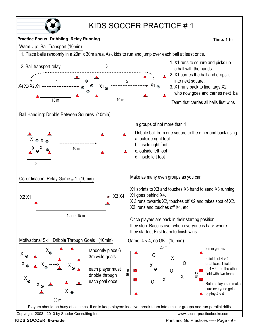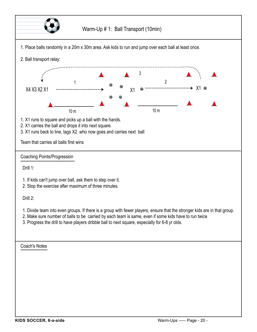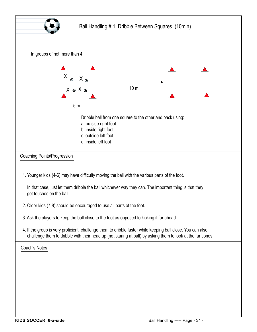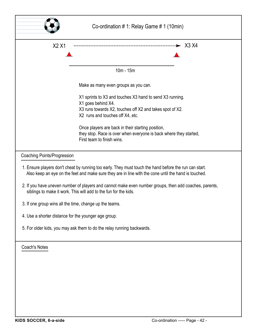|                                                                                                                                                                                                                | Co-ordination # 1: Relay Game # 1 (10min)                                                       |  |  |  |
|----------------------------------------------------------------------------------------------------------------------------------------------------------------------------------------------------------------|-------------------------------------------------------------------------------------------------|--|--|--|
| X2 X1                                                                                                                                                                                                          |                                                                                                 |  |  |  |
|                                                                                                                                                                                                                |                                                                                                 |  |  |  |
|                                                                                                                                                                                                                |                                                                                                 |  |  |  |
|                                                                                                                                                                                                                | $10m - 15m$                                                                                     |  |  |  |
|                                                                                                                                                                                                                | Make as many even groups as you can.                                                            |  |  |  |
|                                                                                                                                                                                                                | X1 sprints to X3 and touches X3 hand to send X3 running.                                        |  |  |  |
|                                                                                                                                                                                                                | X1 goes behind X4.                                                                              |  |  |  |
|                                                                                                                                                                                                                | X3 runs towards X2, touches off X2 and takes spot of X2.<br>X2 runs and touches off X4, etc.    |  |  |  |
|                                                                                                                                                                                                                |                                                                                                 |  |  |  |
|                                                                                                                                                                                                                | Once players are back in their starting position,                                               |  |  |  |
|                                                                                                                                                                                                                | they stop. Race is over when everyone is back where they started,<br>First team to finish wins. |  |  |  |
|                                                                                                                                                                                                                |                                                                                                 |  |  |  |
| <b>Coaching Points/Progression</b>                                                                                                                                                                             |                                                                                                 |  |  |  |
| 1. Ensure players don't cheat by running too early. They must touch the hand before the run can start.<br>Also keep an eye on the feet and make sure they are in line with the cone until the hand is touched. |                                                                                                 |  |  |  |
| 2. If you have uneven number of players and cannot make even number groups, then add coaches, parents,<br>siblings to make it work. This will add to the fun for the kids.                                     |                                                                                                 |  |  |  |
| 3. If one group wins all the time, change up the teams.                                                                                                                                                        |                                                                                                 |  |  |  |
| 4. Use a shorter distance for the younger age group.                                                                                                                                                           |                                                                                                 |  |  |  |
| 5. For older kids, you may ask them to do the relay running backwards.                                                                                                                                         |                                                                                                 |  |  |  |
| <b>Coach's Notes</b>                                                                                                                                                                                           |                                                                                                 |  |  |  |
|                                                                                                                                                                                                                |                                                                                                 |  |  |  |
|                                                                                                                                                                                                                |                                                                                                 |  |  |  |
|                                                                                                                                                                                                                |                                                                                                 |  |  |  |
|                                                                                                                                                                                                                |                                                                                                 |  |  |  |
|                                                                                                                                                                                                                |                                                                                                 |  |  |  |
|                                                                                                                                                                                                                |                                                                                                 |  |  |  |
|                                                                                                                                                                                                                |                                                                                                 |  |  |  |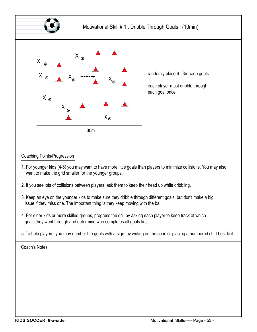